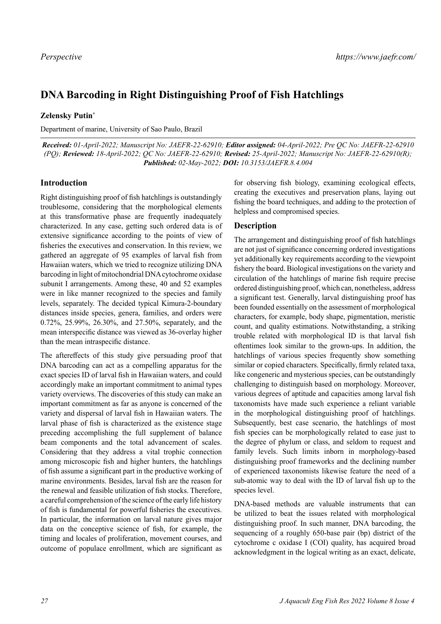# **DNA Barcoding in Right Distinguishing Proof of Fish Hatchlings**

## **Zelensky Putin\***

Department of marine, University of Sao Paulo, Brazil

*Received: 01-April-2022; Manuscript No: JAEFR-22-62910; Editor assigned: 04-April-2022; Pre QC No: JAEFR-22-62910 (PQ); Reviewed: 18-April-2022; QC No: JAEFR-22-62910; Revised: 25-April-2022; Manuscript No: JAEFR-22-62910(R); Published: 02-May-2022; DOI: 10.3153/JAEFR.8.4.004*

## **Introduction**

Right distinguishing proof of fish hatchlings is outstandingly troublesome, considering that the morphological elements at this transformative phase are frequently inadequately characterized. In any case, getting such ordered data is of extensive significance according to the points of view of fisheries the executives and conservation. In this review, we gathered an aggregate of 95 examples of larval fish from Hawaiian waters, which we tried to recognize utilizing DNA barcoding in light of mitochondrial DNA cytochrome oxidase subunit I arrangements. Among these, 40 and 52 examples were in like manner recognized to the species and family levels, separately. The decided typical Kimura-2-boundary distances inside species, genera, families, and orders were 0.72%, 25.99%, 26.30%, and 27.50%, separately, and the mean interspecific distance was viewed as 36-overlay higher than the mean intraspecific distance.

The aftereffects of this study give persuading proof that DNA barcoding can act as a compelling apparatus for the exact species ID of larval fish in Hawaiian waters, and could accordingly make an important commitment to animal types variety overviews. The discoveries of this study can make an important commitment as far as anyone is concerned of the variety and dispersal of larval fish in Hawaiian waters. The larval phase of fish is characterized as the existence stage preceding accomplishing the full supplement of balance beam components and the total advancement of scales. Considering that they address a vital trophic connection among microscopic fish and higher hunters, the hatchlings of fish assume a significant part in the productive working of marine environments. Besides, larval fish are the reason for the renewal and feasible utilization of fish stocks. Therefore, a careful comprehension of the science of the early life history of fish is fundamental for powerful fisheries the executives. In particular, the information on larval nature gives major data on the conceptive science of fish, for example, the timing and locales of proliferation, movement courses, and outcome of populace enrollment, which are significant as for observing fish biology, examining ecological effects, creating the executives and preservation plans, laying out fishing the board techniques, and adding to the protection of helpless and compromised species.

## **Description**

The arrangement and distinguishing proof of fish hatchlings are not just of significance concerning ordered investigations yet additionally key requirements according to the viewpoint fishery the board. Biological investigations on the variety and circulation of the hatchlings of marine fish require precise ordered distinguishing proof, which can, nonetheless, address a significant test. Generally, larval distinguishing proof has been founded essentially on the assessment of morphological characters, for example, body shape, pigmentation, meristic count, and quality estimations. Notwithstanding, a striking trouble related with morphological ID is that larval fish oftentimes look similar to the grown-ups. In addition, the hatchlings of various species frequently show something similar or copied characters. Specifically, firmly related taxa, like congeneric and mysterious species, can be outstandingly challenging to distinguish based on morphology. Moreover, various degrees of aptitude and capacities among larval fish taxonomists have made such experience a reliant variable in the morphological distinguishing proof of hatchlings. Subsequently, best case scenario, the hatchlings of most fish species can be morphologically related to ease just to the degree of phylum or class, and seldom to request and family levels. Such limits inborn in morphology-based distinguishing proof frameworks and the declining number of experienced taxonomists likewise feature the need of a sub-atomic way to deal with the ID of larval fish up to the species level.

DNA-based methods are valuable instruments that can be utilized to beat the issues related with morphological distinguishing proof. In such manner, DNA barcoding, the sequencing of a roughly 650-base pair (bp) district of the cytochrome c oxidase I (COI) quality, has acquired broad acknowledgment in the logical writing as an exact, delicate,